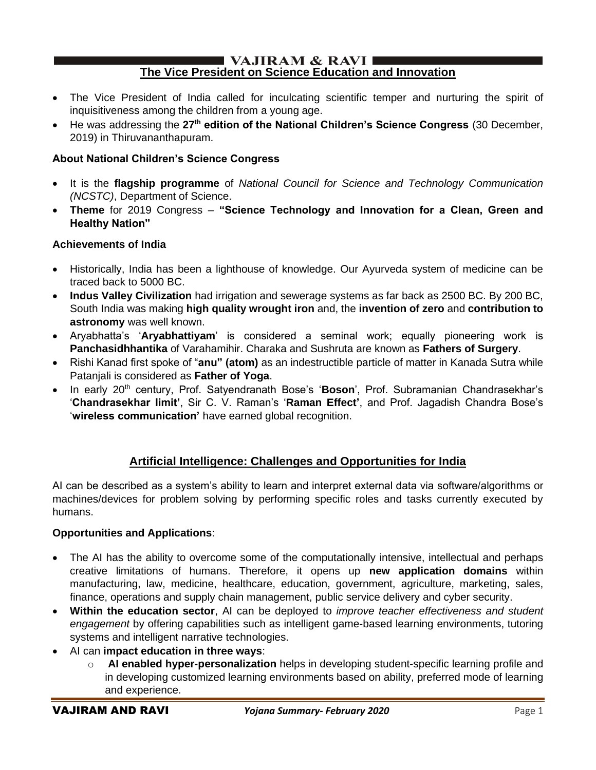#### $\blacksquare$  VAJIRAM & RAVI $\blacksquare$ **The Vice President on Science Education and Innovation**

- The Vice President of India called for inculcating scientific temper and nurturing the spirit of inquisitiveness among the children from a young age.
- He was addressing the **27th edition of the National Children's Science Congress** (30 December, 2019) in Thiruvananthapuram.

### **About National Children's Science Congress**

- It is the **flagship programme** of *National Council for Science and Technology Communication (NCSTC)*, Department of Science.
- **Theme** for 2019 Congress **"Science Technology and Innovation for a Clean, Green and Healthy Nation"**

#### **Achievements of India**

- Historically, India has been a lighthouse of knowledge. Our Ayurveda system of medicine can be traced back to 5000 BC.
- **Indus Valley Civilization** had irrigation and sewerage systems as far back as 2500 BC. By 200 BC, South India was making **high quality wrought iron** and, the **invention of zero** and **contribution to astronomy** was well known.
- Aryabhatta's '**Aryabhattiyam**' is considered a seminal work; equally pioneering work is **Panchasidhhantika** of Varahamihir. Charaka and Sushruta are known as **Fathers of Surgery**.
- Rishi Kanad first spoke of "**anu" (atom)** as an indestructible particle of matter in Kanada Sutra while Patanjali is considered as **Father of Yoga**.
- In early 20th century, Prof. Satyendranath Bose's '**Boson**', Prof. Subramanian Chandrasekhar's '**Chandrasekhar limit'**, Sir C. V. Raman's '**Raman Effect'**, and Prof. Jagadish Chandra Bose's '**wireless communication'** have earned global recognition.

## **Artificial Intelligence: Challenges and Opportunities for India**

AI can be described as a system's ability to learn and interpret external data via software/algorithms or machines/devices for problem solving by performing specific roles and tasks currently executed by humans.

#### **Opportunities and Applications**:

- The AI has the ability to overcome some of the computationally intensive, intellectual and perhaps creative limitations of humans. Therefore, it opens up **new application domains** within manufacturing, law, medicine, healthcare, education, government, agriculture, marketing, sales, finance, operations and supply chain management, public service delivery and cyber security.
- **Within the education sector**, AI can be deployed to *improve teacher effectiveness and student engagement* by offering capabilities such as intelligent game-based learning environments, tutoring systems and intelligent narrative technologies.
- AI can **impact education in three ways**:
	- o **AI enabled hyper-personalization** helps in developing student-specific learning profile and in developing customized learning environments based on ability, preferred mode of learning and experience.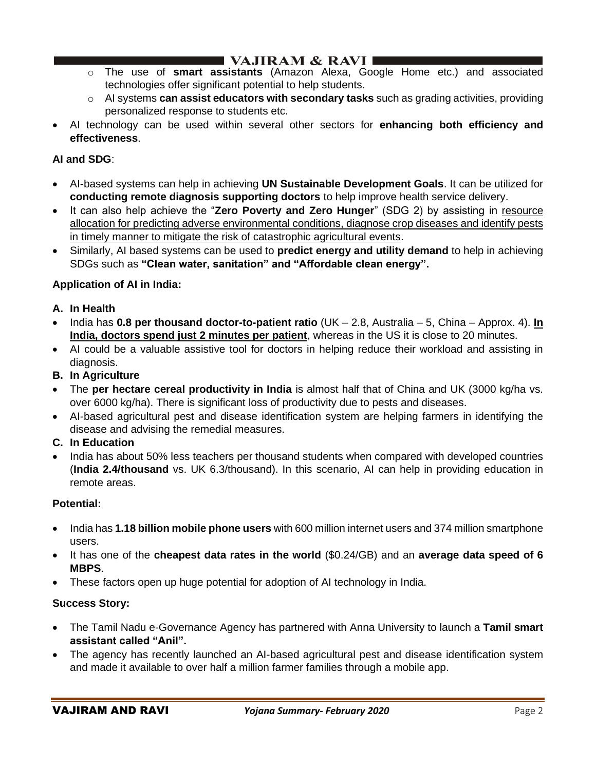## I VAJIRAM  $\&$  RAVI $\blacksquare$

- o The use of **smart assistants** (Amazon Alexa, Google Home etc.) and associated technologies offer significant potential to help students.
- o AI systems **can assist educators with secondary tasks** such as grading activities, providing personalized response to students etc.
- AI technology can be used within several other sectors for **enhancing both efficiency and effectiveness**.

## **AI and SDG**:

- AI-based systems can help in achieving **UN Sustainable Development Goals**. It can be utilized for **conducting remote diagnosis supporting doctors** to help improve health service delivery.
- It can also help achieve the "**Zero Poverty and Zero Hunger**" (SDG 2) by assisting in resource allocation for predicting adverse environmental conditions, diagnose crop diseases and identify pests in timely manner to mitigate the risk of catastrophic agricultural events.
- Similarly, AI based systems can be used to **predict energy and utility demand** to help in achieving SDGs such as **"Clean water, sanitation" and "Affordable clean energy".**

## **Application of AI in India:**

- **A. In Health**
- India has **0.8 per thousand doctor-to-patient ratio** (UK 2.8, Australia 5, China Approx. 4). **In India, doctors spend just 2 minutes per patient**, whereas in the US it is close to 20 minutes.
- AI could be a valuable assistive tool for doctors in helping reduce their workload and assisting in diagnosis.
- **B. In Agriculture**
- The **per hectare cereal productivity in India** is almost half that of China and UK (3000 kg/ha vs. over 6000 kg/ha). There is significant loss of productivity due to pests and diseases.
- AI-based agricultural pest and disease identification system are helping farmers in identifying the disease and advising the remedial measures.
- **C. In Education**
- India has about 50% less teachers per thousand students when compared with developed countries (**India 2.4/thousand** vs. UK 6.3/thousand). In this scenario, AI can help in providing education in remote areas.

## **Potential:**

- India has **1.18 billion mobile phone users** with 600 million internet users and 374 million smartphone users.
- It has one of the **cheapest data rates in the world** (\$0.24/GB) and an **average data speed of 6 MBPS**.
- These factors open up huge potential for adoption of AI technology in India.

## **Success Story:**

- The Tamil Nadu e-Governance Agency has partnered with Anna University to launch a **Tamil smart assistant called "Anil".**
- The agency has recently launched an AI-based agricultural pest and disease identification system and made it available to over half a million farmer families through a mobile app.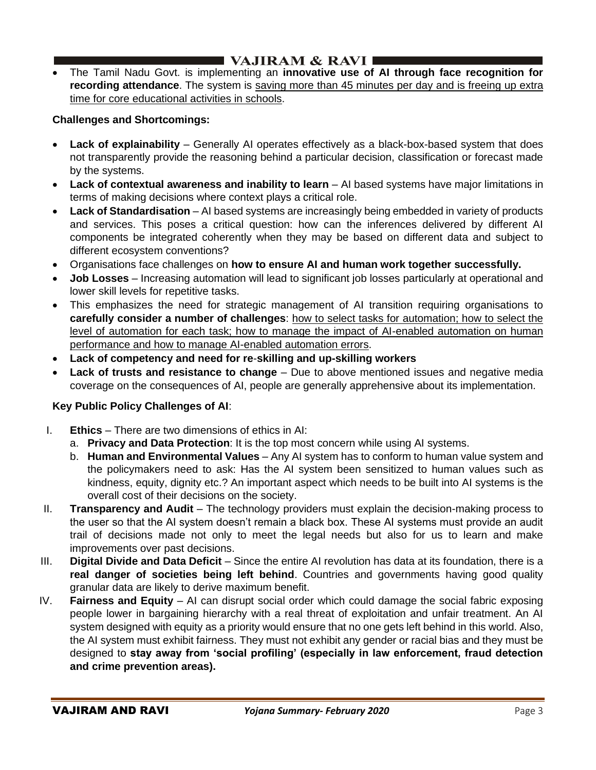## **I VAJIRAM & RAVI**  $\blacksquare$

• The Tamil Nadu Govt. is implementing an **innovative use of AI through face recognition for recording attendance**. The system is saving more than 45 minutes per day and is freeing up extra time for core educational activities in schools.

#### **Challenges and Shortcomings:**

- **Lack of explainability** Generally AI operates effectively as a black-box-based system that does not transparently provide the reasoning behind a particular decision, classification or forecast made by the systems.
- **Lack of contextual awareness and inability to learn** AI based systems have major limitations in terms of making decisions where context plays a critical role.
- **Lack of Standardisation** AI based systems are increasingly being embedded in variety of products and services. This poses a critical question: how can the inferences delivered by different AI components be integrated coherently when they may be based on different data and subject to different ecosystem conventions?
- Organisations face challenges on **how to ensure AI and human work together successfully.**
- **Job Losses** Increasing automation will lead to significant job losses particularly at operational and lower skill levels for repetitive tasks.
- This emphasizes the need for strategic management of AI transition requiring organisations to **carefully consider a number of challenges**: how to select tasks for automation; how to select the level of automation for each task; how to manage the impact of AI-enabled automation on human performance and how to manage AI-enabled automation errors.
- **Lack of competency and need for re**-**skilling and up-skilling workers**
- Lack of trusts and resistance to change Due to above mentioned issues and negative media coverage on the consequences of AI, people are generally apprehensive about its implementation.

## **Key Public Policy Challenges of AI**:

- I. **Ethics** There are two dimensions of ethics in AI:
	- a. **Privacy and Data Protection**: It is the top most concern while using AI systems.
	- b. **Human and Environmental Values** Any AI system has to conform to human value system and the policymakers need to ask: Has the AI system been sensitized to human values such as kindness, equity, dignity etc.? An important aspect which needs to be built into AI systems is the overall cost of their decisions on the society.
- II. **Transparency and Audit** The technology providers must explain the decision-making process to the user so that the AI system doesn't remain a black box. These AI systems must provide an audit trail of decisions made not only to meet the legal needs but also for us to learn and make improvements over past decisions.
- III. **Digital Divide and Data Deficit**  Since the entire AI revolution has data at its foundation, there is a **real danger of societies being left behind**. Countries and governments having good quality granular data are likely to derive maximum benefit.
- IV. **Fairness and Equity**  AI can disrupt social order which could damage the social fabric exposing people lower in bargaining hierarchy with a real threat of exploitation and unfair treatment. An AI system designed with equity as a priority would ensure that no one gets left behind in this world. Also, the AI system must exhibit fairness. They must not exhibit any gender or racial bias and they must be designed to **stay away from 'social profiling' (especially in law enforcement, fraud detection and crime prevention areas).**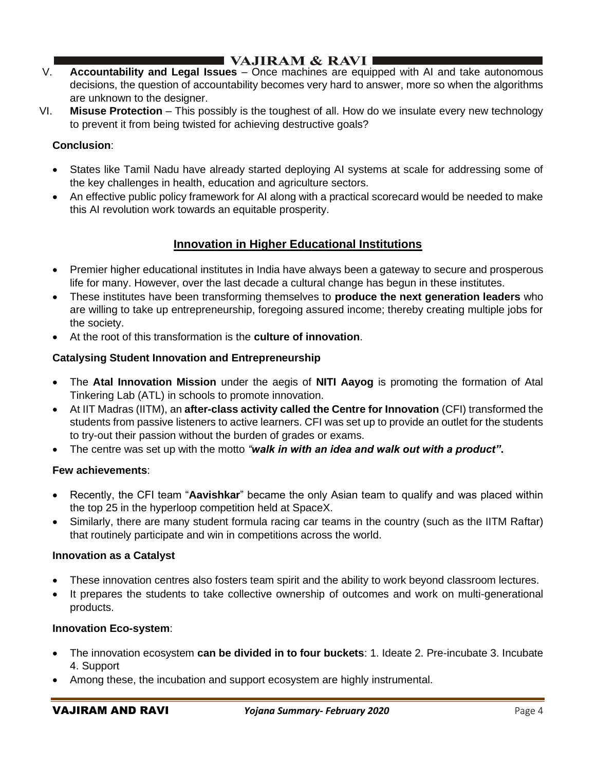## ■ VAJIRAM & RAVI ■

- V. **Accountability and Legal Issues**  Once machines are equipped with AI and take autonomous decisions, the question of accountability becomes very hard to answer, more so when the algorithms are unknown to the designer.
- VI. **Misuse Protection**  This possibly is the toughest of all. How do we insulate every new technology to prevent it from being twisted for achieving destructive goals?

### **Conclusion**:

- States like Tamil Nadu have already started deploying AI systems at scale for addressing some of the key challenges in health, education and agriculture sectors.
- An effective public policy framework for AI along with a practical scorecard would be needed to make this AI revolution work towards an equitable prosperity.

## **Innovation in Higher Educational Institutions**

- Premier higher educational institutes in India have always been a gateway to secure and prosperous life for many. However, over the last decade a cultural change has begun in these institutes.
- These institutes have been transforming themselves to **produce the next generation leaders** who are willing to take up entrepreneurship, foregoing assured income; thereby creating multiple jobs for the society.
- At the root of this transformation is the **culture of innovation**.

### **Catalysing Student Innovation and Entrepreneurship**

- The **Atal Innovation Mission** under the aegis of **NITI Aayog** is promoting the formation of Atal Tinkering Lab (ATL) in schools to promote innovation.
- At IIT Madras (IITM), an **after-class activity called the Centre for Innovation** (CFI) transformed the students from passive listeners to active learners. CFI was set up to provide an outlet for the students to try-out their passion without the burden of grades or exams.
- The centre was set up with the motto *"walk in with an idea and walk out with a product"***.**

#### **Few achievements**:

- Recently, the CFI team "**Aavishkar**" became the only Asian team to qualify and was placed within the top 25 in the hyperloop competition held at SpaceX.
- Similarly, there are many student formula racing car teams in the country (such as the IITM Raftar) that routinely participate and win in competitions across the world.

#### **Innovation as a Catalyst**

- These innovation centres also fosters team spirit and the ability to work beyond classroom lectures.
- It prepares the students to take collective ownership of outcomes and work on multi-generational products.

#### **Innovation Eco-system**:

- The innovation ecosystem **can be divided in to four buckets**: 1. Ideate 2. Pre-incubate 3. Incubate 4. Support
- Among these, the incubation and support ecosystem are highly instrumental.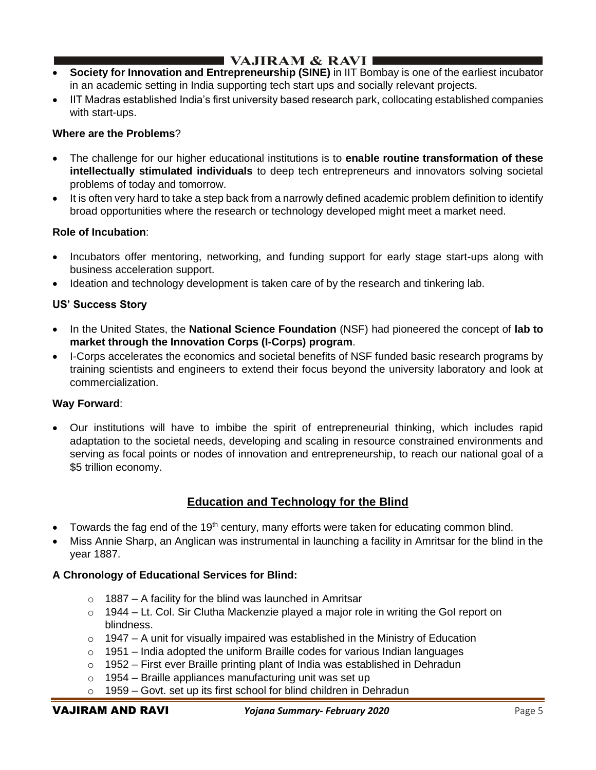# $\blacksquare$  VAJIRAM & RAVI $\blacksquare$

- **Society for Innovation and Entrepreneurship (SINE)** in IIT Bombay is one of the earliest incubator in an academic setting in India supporting tech start ups and socially relevant projects.
- IIT Madras established India's first university based research park, collocating established companies with start-ups.

### **Where are the Problems**?

- The challenge for our higher educational institutions is to **enable routine transformation of these intellectually stimulated individuals** to deep tech entrepreneurs and innovators solving societal problems of today and tomorrow.
- It is often very hard to take a step back from a narrowly defined academic problem definition to identify broad opportunities where the research or technology developed might meet a market need.

### **Role of Incubation**:

- Incubators offer mentoring, networking, and funding support for early stage start-ups along with business acceleration support.
- Ideation and technology development is taken care of by the research and tinkering lab.

### **US' Success Story**

- In the United States, the **National Science Foundation** (NSF) had pioneered the concept of **lab to market through the Innovation Corps (I-Corps) program**.
- I-Corps accelerates the economics and societal benefits of NSF funded basic research programs by training scientists and engineers to extend their focus beyond the university laboratory and look at commercialization.

#### **Way Forward**:

• Our institutions will have to imbibe the spirit of entrepreneurial thinking, which includes rapid adaptation to the societal needs, developing and scaling in resource constrained environments and serving as focal points or nodes of innovation and entrepreneurship, to reach our national goal of a \$5 trillion economy.

## **Education and Technology for the Blind**

- Towards the fag end of the 19<sup>th</sup> century, many efforts were taken for educating common blind.
- Miss Annie Sharp, an Anglican was instrumental in launching a facility in Amritsar for the blind in the year 1887.

## **A Chronology of Educational Services for Blind:**

- $\circ$  1887 A facility for the blind was launched in Amritsar
- $\circ$  1944 Lt. Col. Sir Clutha Mackenzie played a major role in writing the GoI report on blindness.
- $\circ$  1947 A unit for visually impaired was established in the Ministry of Education
- $\circ$  1951 India adopted the uniform Braille codes for various Indian languages
- $\circ$  1952 First ever Braille printing plant of India was established in Dehradun
- $\circ$  1954 Braille appliances manufacturing unit was set up
- $\circ$  1959 Govt. set up its first school for blind children in Dehradun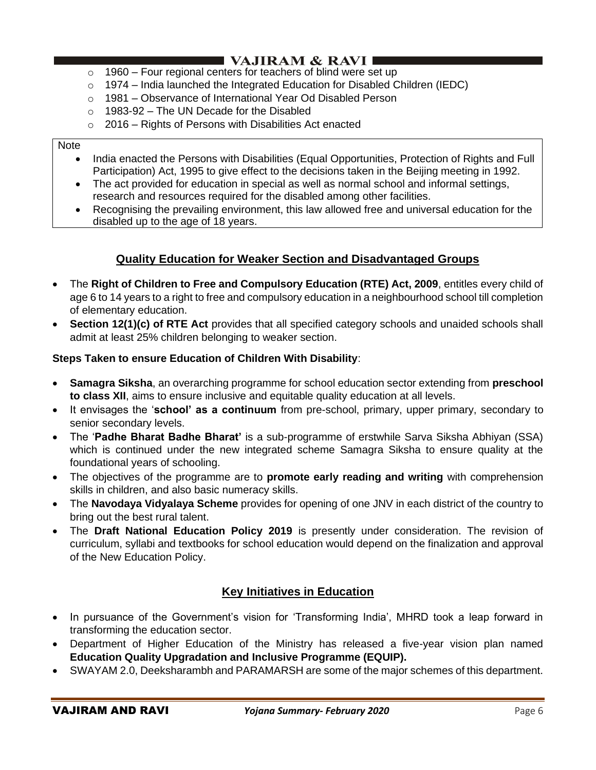# I VAJIRAM & RAVI ∎

- $\circ$  1960 Four regional centers for teachers of blind were set up
- $\circ$  1974 India launched the Integrated Education for Disabled Children (IEDC)
- o 1981 Observance of International Year Od Disabled Person
- $\circ$  1983-92 The UN Decade for the Disabled
- o 2016 Rights of Persons with Disabilities Act enacted

#### **Note**

- India enacted the Persons with Disabilities (Equal Opportunities, Protection of Rights and Full Participation) Act, 1995 to give effect to the decisions taken in the Beijing meeting in 1992.
- The act provided for education in special as well as normal school and informal settings, research and resources required for the disabled among other facilities.
- Recognising the prevailing environment, this law allowed free and universal education for the disabled up to the age of 18 years.

## **Quality Education for Weaker Section and Disadvantaged Groups**

- The **Right of Children to Free and Compulsory Education (RTE) Act, 2009**, entitles every child of age 6 to 14 years to a right to free and compulsory education in a neighbourhood school till completion of elementary education.
- **Section 12(1)(c) of RTE Act** provides that all specified category schools and unaided schools shall admit at least 25% children belonging to weaker section.

#### **Steps Taken to ensure Education of Children With Disability**:

- **Samagra Siksha**, an overarching programme for school education sector extending from **preschool to class XII**, aims to ensure inclusive and equitable quality education at all levels.
- It envisages the '**school' as a continuum** from pre-school, primary, upper primary, secondary to senior secondary levels.
- The '**Padhe Bharat Badhe Bharat'** is a sub-programme of erstwhile Sarva Siksha Abhiyan (SSA) which is continued under the new integrated scheme Samagra Siksha to ensure quality at the foundational years of schooling.
- The objectives of the programme are to **promote early reading and writing** with comprehension skills in children, and also basic numeracy skills.
- The **Navodaya Vidyalaya Scheme** provides for opening of one JNV in each district of the country to bring out the best rural talent.
- The **Draft National Education Policy 2019** is presently under consideration. The revision of curriculum, syllabi and textbooks for school education would depend on the finalization and approval of the New Education Policy.

## **Key Initiatives in Education**

- In pursuance of the Government's vision for 'Transforming India', MHRD took a leap forward in transforming the education sector.
- Department of Higher Education of the Ministry has released a five-year vision plan named **Education Quality Upgradation and Inclusive Programme (EQUIP).**
- SWAYAM 2.0, Deeksharambh and PARAMARSH are some of the major schemes of this department.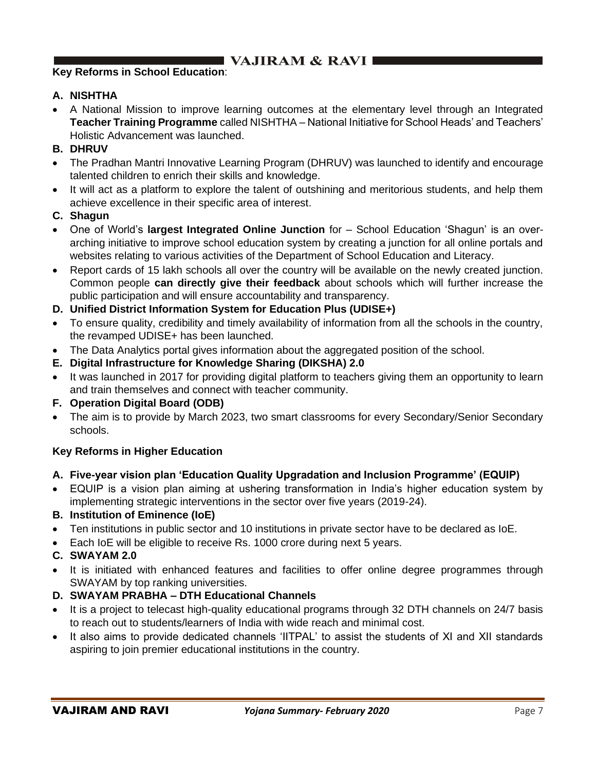# I VAJIRAM  $\&$  RAVI $\blacksquare$

## **Key Reforms in School Education**:

#### **A. NISHTHA**

- A National Mission to improve learning outcomes at the elementary level through an Integrated **Teacher Training Programme** called NISHTHA – National Initiative for School Heads' and Teachers' Holistic Advancement was launched.
- **B. DHRUV**
- The Pradhan Mantri Innovative Learning Program (DHRUV) was launched to identify and encourage talented children to enrich their skills and knowledge.
- It will act as a platform to explore the talent of outshining and meritorious students, and help them achieve excellence in their specific area of interest.
- **C. Shagun**
- One of World's **largest Integrated Online Junction** for School Education 'Shagun' is an overarching initiative to improve school education system by creating a junction for all online portals and websites relating to various activities of the Department of School Education and Literacy.
- Report cards of 15 lakh schools all over the country will be available on the newly created junction. Common people **can directly give their feedback** about schools which will further increase the public participation and will ensure accountability and transparency.
- **D. Unified District Information System for Education Plus (UDISE+)**
- To ensure quality, credibility and timely availability of information from all the schools in the country, the revamped UDISE+ has been launched.
- The Data Analytics portal gives information about the aggregated position of the school.
- **E. Digital Infrastructure for Knowledge Sharing (DIKSHA) 2.0**
- It was launched in 2017 for providing digital platform to teachers giving them an opportunity to learn and train themselves and connect with teacher community.
- **F. Operation Digital Board (ODB)**
- The aim is to provide by March 2023, two smart classrooms for every Secondary/Senior Secondary schools.

#### **Key Reforms in Higher Education**

#### **A. Five-year vision plan 'Education Quality Upgradation and Inclusion Programme' (EQUIP)**

- EQUIP is a vision plan aiming at ushering transformation in India's higher education system by implementing strategic interventions in the sector over five years (2019-24).
- **B. Institution of Eminence (IoE)**
- Ten institutions in public sector and 10 institutions in private sector have to be declared as IoE.
- Each IoE will be eligible to receive Rs. 1000 crore during next 5 years.

#### **C. SWAYAM 2.0**

- It is initiated with enhanced features and facilities to offer online degree programmes through SWAYAM by top ranking universities.
- **D. SWAYAM PRABHA – DTH Educational Channels**
- It is a project to telecast high-quality educational programs through 32 DTH channels on 24/7 basis to reach out to students/learners of India with wide reach and minimal cost.
- It also aims to provide dedicated channels 'IITPAL' to assist the students of XI and XII standards aspiring to join premier educational institutions in the country.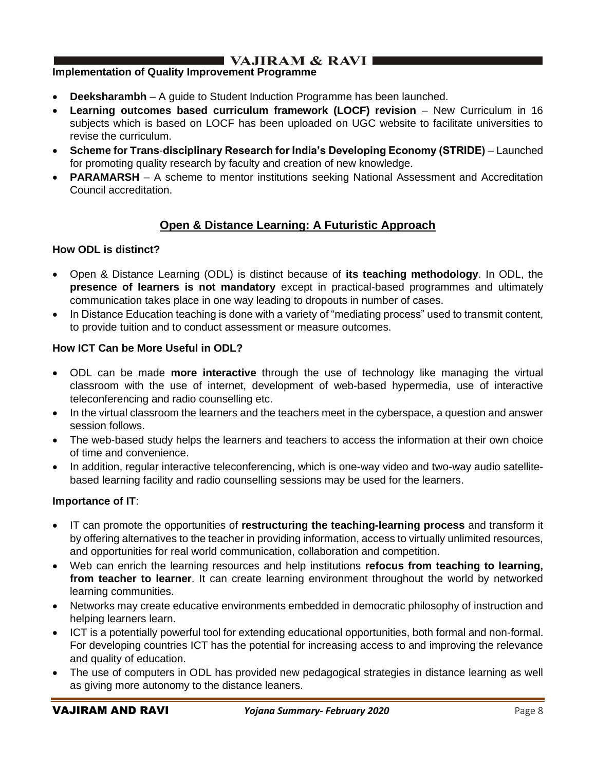# $\blacksquare$  VAJIRAM & RAVI $\blacksquare$

### **Implementation of Quality Improvement Programme**

- **Deeksharambh** A guide to Student Induction Programme has been launched.
- **Learning outcomes based curriculum framework (LOCF) revision** New Curriculum in 16 subjects which is based on LOCF has been uploaded on UGC website to facilitate universities to revise the curriculum.
- **Scheme for Trans**-**disciplinary Research for India's Developing Economy (STRIDE)** Launched for promoting quality research by faculty and creation of new knowledge.
- **PARAMARSH** A scheme to mentor institutions seeking National Assessment and Accreditation Council accreditation.

## **Open & Distance Learning: A Futuristic Approach**

#### **How ODL is distinct?**

- Open & Distance Learning (ODL) is distinct because of **its teaching methodology**. In ODL, the **presence of learners is not mandatory** except in practical-based programmes and ultimately communication takes place in one way leading to dropouts in number of cases.
- In Distance Education teaching is done with a variety of "mediating process" used to transmit content, to provide tuition and to conduct assessment or measure outcomes.

#### **How ICT Can be More Useful in ODL?**

- ODL can be made **more interactive** through the use of technology like managing the virtual classroom with the use of internet, development of web-based hypermedia, use of interactive teleconferencing and radio counselling etc.
- In the virtual classroom the learners and the teachers meet in the cyberspace, a question and answer session follows.
- The web-based study helps the learners and teachers to access the information at their own choice of time and convenience.
- In addition, regular interactive teleconferencing, which is one-way video and two-way audio satellitebased learning facility and radio counselling sessions may be used for the learners.

#### **Importance of IT**:

- IT can promote the opportunities of **restructuring the teaching-learning process** and transform it by offering alternatives to the teacher in providing information, access to virtually unlimited resources, and opportunities for real world communication, collaboration and competition.
- Web can enrich the learning resources and help institutions **refocus from teaching to learning, from teacher to learner**. It can create learning environment throughout the world by networked learning communities.
- Networks may create educative environments embedded in democratic philosophy of instruction and helping learners learn.
- ICT is a potentially powerful tool for extending educational opportunities, both formal and non-formal. For developing countries ICT has the potential for increasing access to and improving the relevance and quality of education.
- The use of computers in ODL has provided new pedagogical strategies in distance learning as well as giving more autonomy to the distance leaners.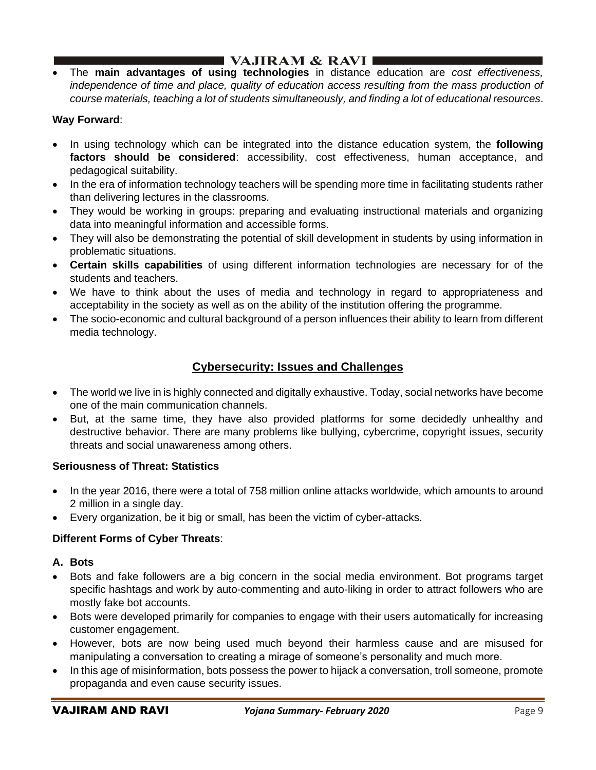## $\blacksquare$  VAJIRAM & RAVI $\blacksquare$

• The **main advantages of using technologies** in distance education are *cost effectiveness,*  independence of time and place, quality of education access resulting from the mass production of *course materials, teaching a lot of students simultaneously, and finding a lot of educational resources*.

## **Way Forward**:

- In using technology which can be integrated into the distance education system, the **following factors should be considered**: accessibility, cost effectiveness, human acceptance, and pedagogical suitability.
- In the era of information technology teachers will be spending more time in facilitating students rather than delivering lectures in the classrooms.
- They would be working in groups: preparing and evaluating instructional materials and organizing data into meaningful information and accessible forms.
- They will also be demonstrating the potential of skill development in students by using information in problematic situations.
- **Certain skills capabilities** of using different information technologies are necessary for of the students and teachers.
- We have to think about the uses of media and technology in regard to appropriateness and acceptability in the society as well as on the ability of the institution offering the programme.
- The socio-economic and cultural background of a person influences their ability to learn from different media technology.

## **Cybersecurity: Issues and Challenges**

- The world we live in is highly connected and digitally exhaustive. Today, social networks have become one of the main communication channels.
- But, at the same time, they have also provided platforms for some decidedly unhealthy and destructive behavior. There are many problems like bullying, cybercrime, copyright issues, security threats and social unawareness among others.

#### **Seriousness of Threat: Statistics**

- In the year 2016, there were a total of 758 million online attacks worldwide, which amounts to around 2 million in a single day.
- Every organization, be it big or small, has been the victim of cyber-attacks.

## **Different Forms of Cyber Threats**:

#### **A. Bots**

- Bots and fake followers are a big concern in the social media environment. Bot programs target specific hashtags and work by auto-commenting and auto-liking in order to attract followers who are mostly fake bot accounts.
- Bots were developed primarily for companies to engage with their users automatically for increasing customer engagement.
- However, bots are now being used much beyond their harmless cause and are misused for manipulating a conversation to creating a mirage of someone's personality and much more.
- In this age of misinformation, bots possess the power to hijack a conversation, troll someone, promote propaganda and even cause security issues.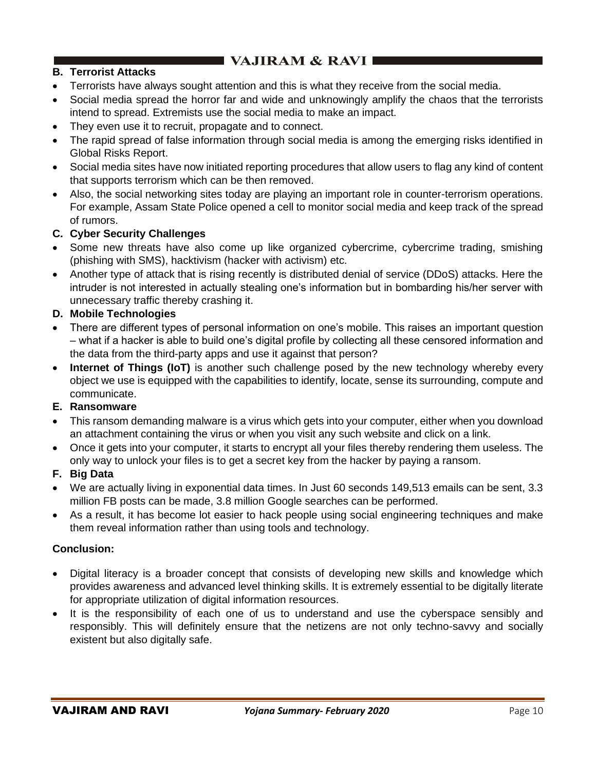# $\blacksquare$  VAJIRAM & RAVI  $\blacksquare$

### **B. Terrorist Attacks**

- Terrorists have always sought attention and this is what they receive from the social media.
- Social media spread the horror far and wide and unknowingly amplify the chaos that the terrorists intend to spread. Extremists use the social media to make an impact.
- They even use it to recruit, propagate and to connect.
- The rapid spread of false information through social media is among the emerging risks identified in Global Risks Report.
- Social media sites have now initiated reporting procedures that allow users to flag any kind of content that supports terrorism which can be then removed.
- Also, the social networking sites today are playing an important role in counter-terrorism operations. For example, Assam State Police opened a cell to monitor social media and keep track of the spread of rumors.

### **C. Cyber Security Challenges**

- Some new threats have also come up like organized cybercrime, cybercrime trading, smishing (phishing with SMS), hacktivism (hacker with activism) etc.
- Another type of attack that is rising recently is distributed denial of service (DDoS) attacks. Here the intruder is not interested in actually stealing one's information but in bombarding his/her server with unnecessary traffic thereby crashing it.

### **D. Mobile Technologies**

- There are different types of personal information on one's mobile. This raises an important question – what if a hacker is able to build one's digital profile by collecting all these censored information and the data from the third-party apps and use it against that person?
- **Internet of Things (IoT)** is another such challenge posed by the new technology whereby every object we use is equipped with the capabilities to identify, locate, sense its surrounding, compute and communicate.

#### **E. Ransomware**

- This ransom demanding malware is a virus which gets into your computer, either when you download an attachment containing the virus or when you visit any such website and click on a link.
- Once it gets into your computer, it starts to encrypt all your files thereby rendering them useless. The only way to unlock your files is to get a secret key from the hacker by paying a ransom.

#### **F. Big Data**

- We are actually living in exponential data times. In Just 60 seconds 149,513 emails can be sent, 3.3 million FB posts can be made, 3.8 million Google searches can be performed.
- As a result, it has become lot easier to hack people using social engineering techniques and make them reveal information rather than using tools and technology.

#### **Conclusion:**

- Digital literacy is a broader concept that consists of developing new skills and knowledge which provides awareness and advanced level thinking skills. It is extremely essential to be digitally literate for appropriate utilization of digital information resources.
- It is the responsibility of each one of us to understand and use the cyberspace sensibly and responsibly. This will definitely ensure that the netizens are not only techno-savvy and socially existent but also digitally safe.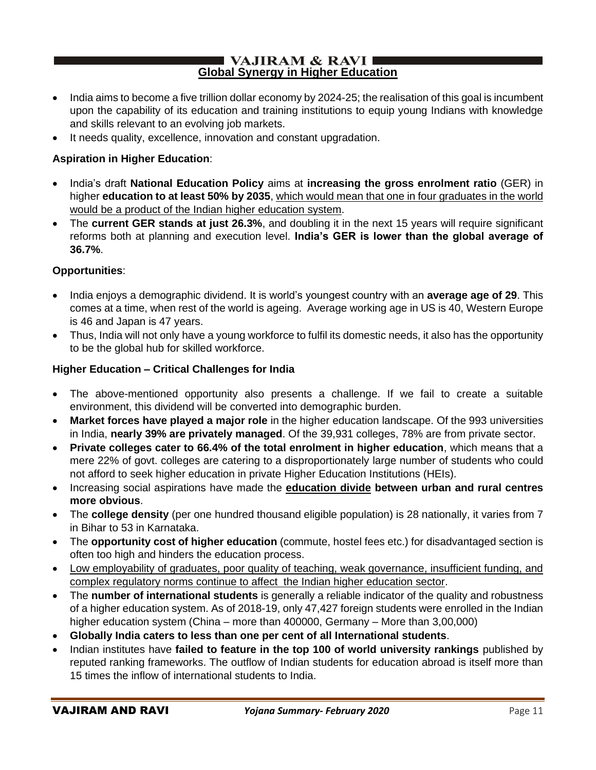#### $\blacksquare$  VAJIRAM & RAVI **Global Synergy in Higher Education**

- India aims to become a five trillion dollar economy by 2024-25; the realisation of this goal is incumbent upon the capability of its education and training institutions to equip young Indians with knowledge and skills relevant to an evolving job markets.
- It needs quality, excellence, innovation and constant upgradation.

### **Aspiration in Higher Education**:

- India's draft **National Education Policy** aims at **increasing the gross enrolment ratio** (GER) in higher **education to at least 50% by 2035**, which would mean that one in four graduates in the world would be a product of the Indian higher education system.
- The **current GER stands at just 26.3%**, and doubling it in the next 15 years will require significant reforms both at planning and execution level. **India's GER is lower than the global average of 36.7%**.

### **Opportunities**:

- India enjoys a demographic dividend. It is world's youngest country with an **average age of 29**. This comes at a time, when rest of the world is ageing. Average working age in US is 40, Western Europe is 46 and Japan is 47 years.
- Thus, India will not only have a young workforce to fulfil its domestic needs, it also has the opportunity to be the global hub for skilled workforce.

### **Higher Education – Critical Challenges for India**

- The above-mentioned opportunity also presents a challenge. If we fail to create a suitable environment, this dividend will be converted into demographic burden.
- **Market forces have played a major role** in the higher education landscape. Of the 993 universities in India, **nearly 39% are privately managed**. Of the 39,931 colleges, 78% are from private sector.
- **Private colleges cater to 66.4% of the total enrolment in higher education**, which means that a mere 22% of govt. colleges are catering to a disproportionately large number of students who could not afford to seek higher education in private Higher Education Institutions (HEIs).
- Increasing social aspirations have made the **education divide between urban and rural centres more obvious**.
- The **college density** (per one hundred thousand eligible population) is 28 nationally, it varies from 7 in Bihar to 53 in Karnataka.
- The **opportunity cost of higher education** (commute, hostel fees etc.) for disadvantaged section is often too high and hinders the education process.
- Low employability of graduates, poor quality of teaching, weak governance, insufficient funding, and complex regulatory norms continue to affect the Indian higher education sector.
- The **number of international students** is generally a reliable indicator of the quality and robustness of a higher education system. As of 2018-19, only 47,427 foreign students were enrolled in the Indian higher education system (China – more than 400000, Germany – More than 3,00,000)
- **Globally India caters to less than one per cent of all International students**.
- Indian institutes have **failed to feature in the top 100 of world university rankings** published by reputed ranking frameworks. The outflow of Indian students for education abroad is itself more than 15 times the inflow of international students to India.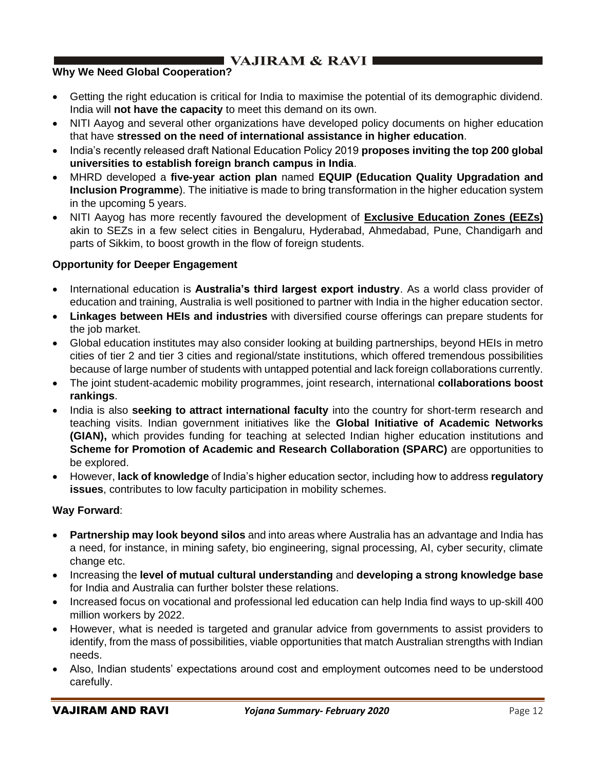# **VAJIRAM & RAVI**

## **Why We Need Global Cooperation?**

- Getting the right education is critical for India to maximise the potential of its demographic dividend. India will **not have the capacity** to meet this demand on its own.
- NITI Aayog and several other organizations have developed policy documents on higher education that have **stressed on the need of international assistance in higher education**.
- India's recently released draft National Education Policy 2019 **proposes inviting the top 200 global universities to establish foreign branch campus in India**.
- MHRD developed a **five-year action plan** named **EQUIP (Education Quality Upgradation and Inclusion Programme**). The initiative is made to bring transformation in the higher education system in the upcoming 5 years.
- NITI Aayog has more recently favoured the development of **Exclusive Education Zones (EEZs)** akin to SEZs in a few select cities in Bengaluru, Hyderabad, Ahmedabad, Pune, Chandigarh and parts of Sikkim, to boost growth in the flow of foreign students.

### **Opportunity for Deeper Engagement**

- International education is **Australia's third largest export industry**. As a world class provider of education and training, Australia is well positioned to partner with India in the higher education sector.
- **Linkages between HEIs and industries** with diversified course offerings can prepare students for the job market.
- Global education institutes may also consider looking at building partnerships, beyond HEIs in metro cities of tier 2 and tier 3 cities and regional/state institutions, which offered tremendous possibilities because of large number of students with untapped potential and lack foreign collaborations currently.
- The joint student-academic mobility programmes, joint research, international **collaborations boost rankings**.
- India is also **seeking to attract international faculty** into the country for short-term research and teaching visits. Indian government initiatives like the **Global Initiative of Academic Networks (GIAN),** which provides funding for teaching at selected Indian higher education institutions and **Scheme for Promotion of Academic and Research Collaboration (SPARC)** are opportunities to be explored.
- However, **lack of knowledge** of India's higher education sector, including how to address **regulatory issues**, contributes to low faculty participation in mobility schemes.

#### **Way Forward**:

- **Partnership may look beyond silos** and into areas where Australia has an advantage and India has a need, for instance, in mining safety, bio engineering, signal processing, AI, cyber security, climate change etc.
- Increasing the **level of mutual cultural understanding** and **developing a strong knowledge base** for India and Australia can further bolster these relations.
- Increased focus on vocational and professional led education can help India find ways to up-skill 400 million workers by 2022.
- However, what is needed is targeted and granular advice from governments to assist providers to identify, from the mass of possibilities, viable opportunities that match Australian strengths with Indian needs.
- Also, Indian students' expectations around cost and employment outcomes need to be understood carefully.